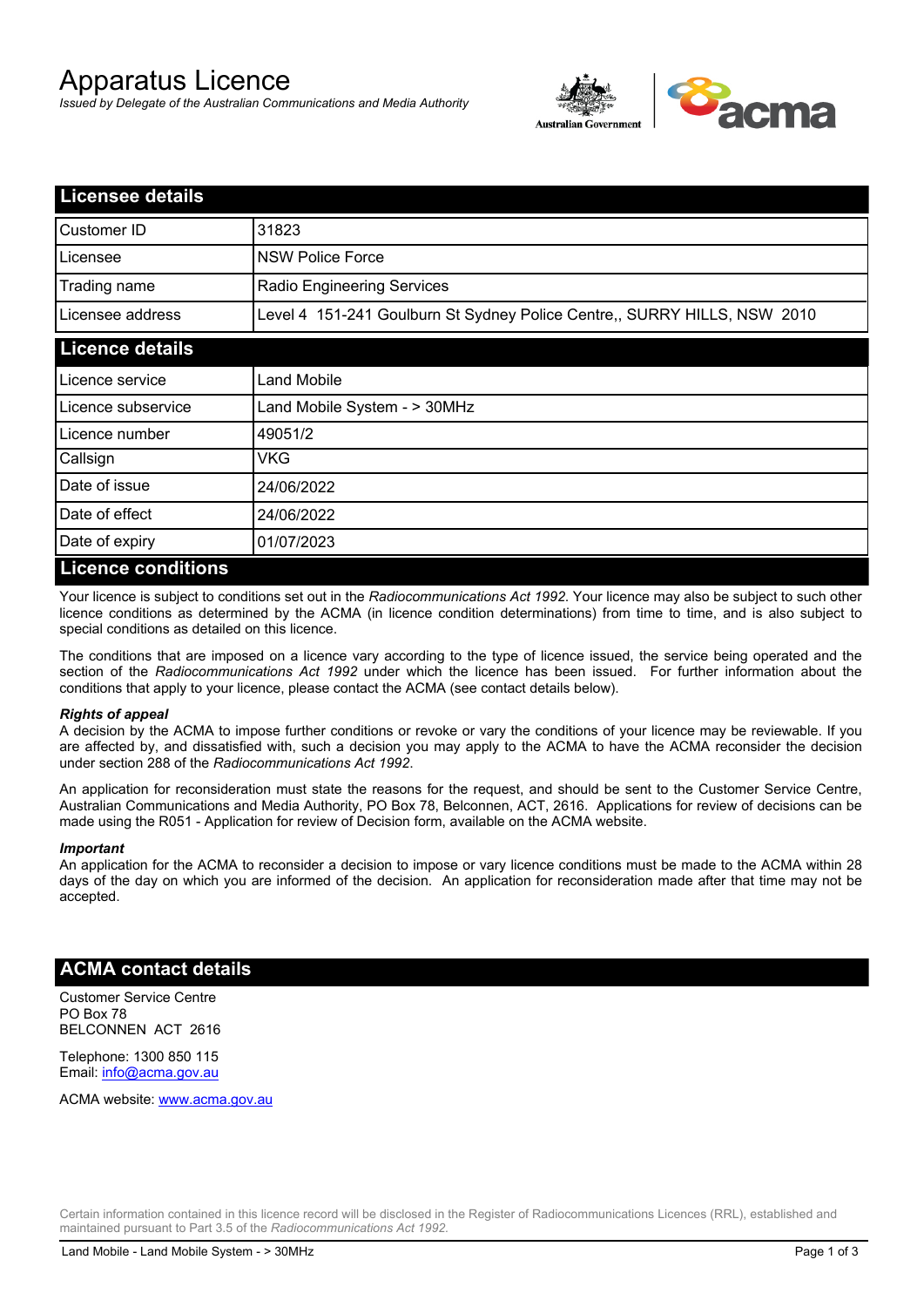# Apparatus Licence

*Issued by Delegate of the Australian Communications and Media Authority*



| <b>Licensee details</b> |                                                                          |  |
|-------------------------|--------------------------------------------------------------------------|--|
| Customer ID             | 31823                                                                    |  |
| Licensee                | <b>NSW Police Force</b>                                                  |  |
| Trading name            | <b>Radio Engineering Services</b>                                        |  |
| Licensee address        | Level 4 151-241 Goulburn St Sydney Police Centre,, SURRY HILLS, NSW 2010 |  |
| <b>Licence details</b>  |                                                                          |  |
| Licence service         | Land Mobile                                                              |  |
| Licence subservice      | Land Mobile System - > 30MHz                                             |  |
| Licence number          | 49051/2                                                                  |  |
| Callsign                | VKG                                                                      |  |
| Date of issue           | 24/06/2022                                                               |  |
| Date of effect          | 24/06/2022                                                               |  |
| Date of expiry          | 01/07/2023                                                               |  |
| Licance conditione      |                                                                          |  |

### **Licence conditions**

Your licence is subject to conditions set out in the *Radiocommunications Act 1992*. Your licence may also be subject to such other licence conditions as determined by the ACMA (in licence condition determinations) from time to time, and is also subject to special conditions as detailed on this licence.

The conditions that are imposed on a licence vary according to the type of licence issued, the service being operated and the section of the *Radiocommunications Act 1992* under which the licence has been issued. For further information about the conditions that apply to your licence, please contact the ACMA (see contact details below).

#### *Rights of appeal*

A decision by the ACMA to impose further conditions or revoke or vary the conditions of your licence may be reviewable. If you are affected by, and dissatisfied with, such a decision you may apply to the ACMA to have the ACMA reconsider the decision under section 288 of the *Radiocommunications Act 1992*.

An application for reconsideration must state the reasons for the request, and should be sent to the Customer Service Centre, Australian Communications and Media Authority, PO Box 78, Belconnen, ACT, 2616. Applications for review of decisions can be made using the R051 - Application for review of Decision form, available on the ACMA website.

#### *Important*

An application for the ACMA to reconsider a decision to impose or vary licence conditions must be made to the ACMA within 28 days of the day on which you are informed of the decision. An application for reconsideration made after that time may not be accepted.

#### **ACMA contact details**

Customer Service Centre PO Box 78 BELCONNEN ACT 2616

Telephone: 1300 850 115 Email: info@acma.gov.au

ACMA website: www.acma.gov.au

Certain information contained in this licence record will be disclosed in the Register of Radiocommunications Licences (RRL), established and maintained pursuant to Part 3.5 of the *Radiocommunications Act 1992.*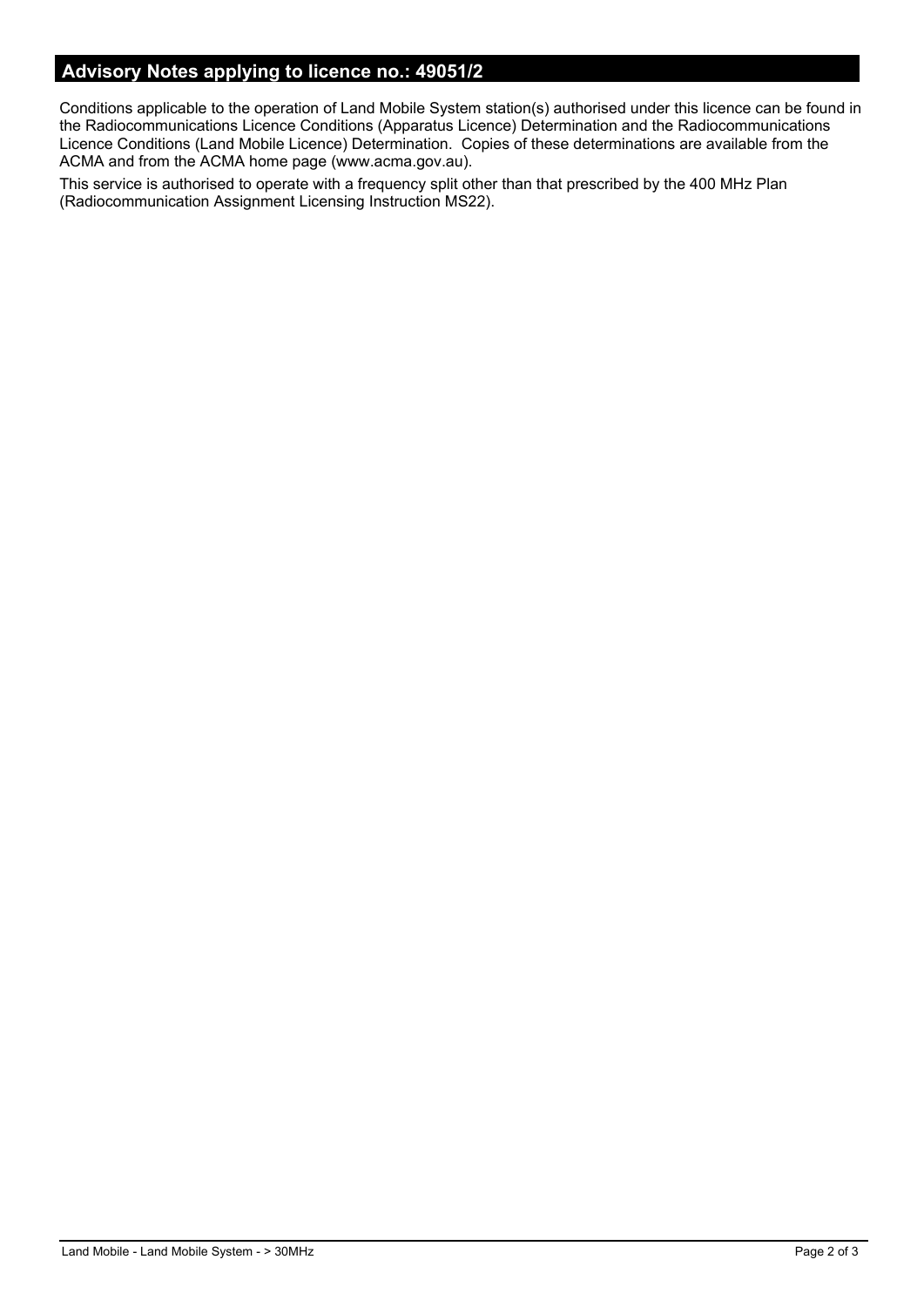# **Advisory Notes applying to licence no.: 49051/2**

Conditions applicable to the operation of Land Mobile System station(s) authorised under this licence can be found in the Radiocommunications Licence Conditions (Apparatus Licence) Determination and the Radiocommunications Licence Conditions (Land Mobile Licence) Determination. Copies of these determinations are available from the ACMA and from the ACMA home page (www.acma.gov.au).

This service is authorised to operate with a frequency split other than that prescribed by the 400 MHz Plan (Radiocommunication Assignment Licensing Instruction MS22).